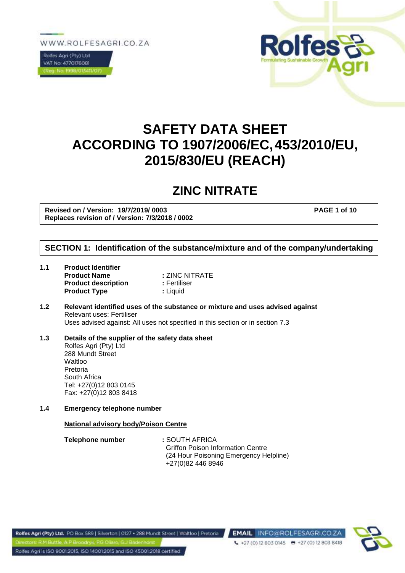WWW.ROLFESAGRI.CO.ZA





# **SAFETY DATA SHEET ACCORDING TO 1907/2006/EC,453/2010/EU, 2015/830/EU (REACH)**

# **ZINC NITRATE**

**Revised on / Version: 19/7/2019/ 0003 PAGE 1 of 10 Replaces revision of / Version: 7/3/2018 / 0002**

# **SECTION 1: Identification of the substance/mixture and of the company/undertaking**

- **1.1 Product Identifier Product Name : ZINC NITRATE Product description : Fertiliser Product Type**  $\qquad$ **: Liquid**
- **1.2 Relevant identified uses of the substance or mixture and uses advised against** Relevant uses: Fertiliser Uses advised against: All uses not specified in this section or in section 7.3
- **1.3 Details of the supplier of the safety data sheet** Rolfes Agri (Pty) Ltd 288 Mundt Street **Waltloo** Pretoria South Africa Tel: +27(0)12 803 0145 Fax: +27(0)12 803 8418
- **1.4 Emergency telephone number**

#### **National advisory body/Poison Centre**

| Telephone number | : SOUTH AFRICA                           |
|------------------|------------------------------------------|
|                  | <b>Griffon Poison Information Centre</b> |
|                  | (24 Hour Poisoning Emergency Helpline)   |
|                  | +27(0)82 446 8946                        |

 $427(0)$  12 803 0145  $\qquad 12$  7 (0) 12 803 8418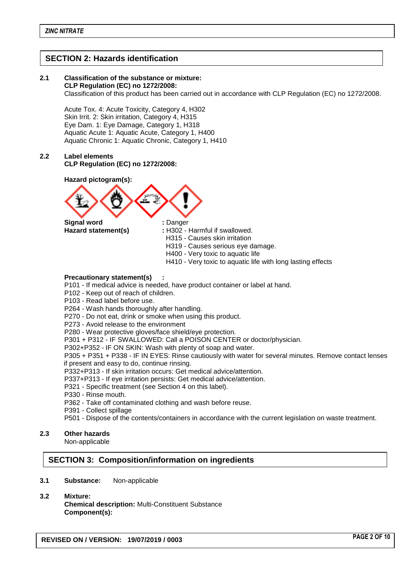# **SECTION 2: Hazards identification**

# **2.1 Classification of the substance or mixture:**

**CLP Regulation (EC) no 1272/2008:**

Classification of this product has been carried out in accordance with CLP Regulation (EC) no 1272/2008.

Acute Tox. 4: Acute Toxicity, Category 4, H302 Skin Irrit. 2: Skin irritation, Category 4, H315 Eye Dam. 1: Eye Damage, Category 1, H318 Aquatic Acute 1: Aquatic Acute, Category 1, H400 Aquatic Chronic 1: Aquatic Chronic, Category 1, H410

### **2.2 Label elements CLP Regulation (EC) no 1272/2008:**

**Hazard pictogram(s):**



**Hazard statement(s) :** H302 - Harmful if swallowed.

- H315 Causes skin irritation
- H319 Causes serious eye damage.
- H400 Very toxic to aquatic life
- H410 Very toxic to aquatic life with long lasting effects

### **Precautionary statement(s) :**

- P101 If medical advice is needed, have product container or label at hand.
- P102 Keep out of reach of children.
- P103 Read label before use.
- P264 Wash hands thoroughly after handling.
- P270 Do not eat, drink or smoke when using this product.
- P273 Avoid release to the environment
- P280 Wear protective gloves/face shield/eye protection.

P301 + P312 - IF SWALLOWED: Call a POISON CENTER or doctor/physician.

P302+P352 - IF ON SKIN: Wash with plenty of soap and water.

P305 + P351 + P338 - IF IN EYES: Rinse cautiously with water for several minutes. Remove contact lenses if present and easy to do, continue rinsing.

P332+P313 - If skin irritation occurs: Get medical advice/attention.

P337+P313 - If eye irritation persists: Get medical advice/attention.

- P321 Specific treatment (see Section 4 on this label).
- P330 Rinse mouth.
- P362 Take off contaminated clothing and wash before reuse.
- P391 Collect spillage
- P501 Dispose of the contents/containers in accordance with the current legislation on waste treatment.

### **2.3 Other hazards**

Non-applicable

# **SECTION 3: Composition/information on ingredients**

- **3.1 Substance:** Non-applicable
- **3.2 Mixture: Chemical description:** Multi-Constituent Substance **Component(s):**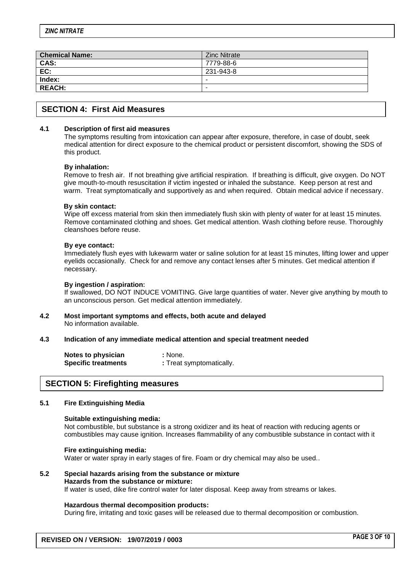| <b>Chemical Name:</b> | <b>Zinc Nitrate</b>      |
|-----------------------|--------------------------|
| CAS:                  | 7779-88-6                |
| EC:                   | 231-943-8                |
| Index:                |                          |
| <b>REACH:</b>         | $\overline{\phantom{0}}$ |

## **SECTION 4: First Aid Measures**

#### **4.1 Description of first aid measures**

The symptoms resulting from intoxication can appear after exposure, therefore, in case of doubt, seek medical attention for direct exposure to the chemical product or persistent discomfort, showing the SDS of this product.

#### **By inhalation:**

Remove to fresh air. If not breathing give artificial respiration. If breathing is difficult, give oxygen. Do NOT give mouth-to-mouth resuscitation if victim ingested or inhaled the substance. Keep person at rest and warm. Treat symptomatically and supportively as and when required. Obtain medical advice if necessary.

#### **By skin contact:**

Wipe off excess material from skin then immediately flush skin with plenty of water for at least 15 minutes. Remove contaminated clothing and shoes. Get medical attention. Wash clothing before reuse. Thoroughly cleanshoes before reuse.

#### **By eye contact:**

Immediately flush eyes with lukewarm water or saline solution for at least 15 minutes, lifting lower and upper eyelids occasionally. Check for and remove any contact lenses after 5 minutes. Get medical attention if necessary.

#### **By ingestion / aspiration:**

If swallowed, DO NOT INDUCE VOMITING. Give large quantities of water. Never give anything by mouth to an unconscious person. Get medical attention immediately.

**4.2 Most important symptoms and effects, both acute and delayed** No information available.

#### **4.3 Indication of any immediate medical attention and special treatment needed**

| Notes to physician         | : None.                  |
|----------------------------|--------------------------|
| <b>Specific treatments</b> | : Treat symptomatically. |

# **SECTION 5: Firefighting measures**

#### **5.1 Fire Extinguishing Media**

#### **Suitable extinguishing media:**

Not combustible, but substance is a strong oxidizer and its heat of reaction with reducing agents or combustibles may cause ignition. Increases flammability of any combustible substance in contact with it

#### **Fire extinguishing media:**

Water or water spray in early stages of fire. Foam or dry chemical may also be used..

#### **5.2 Special hazards arising from the substance or mixture Hazards from the substance or mixture:**

If water is used, dike fire control water for later disposal. Keep away from streams or lakes.

#### **Hazardous thermal decomposition products:**

During fire, irritating and toxic gases will be released due to thermal decomposition or combustion.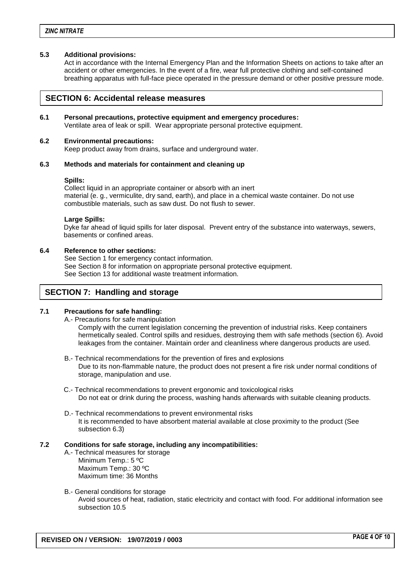#### **5.3 Additional provisions:**

Act in accordance with the Internal Emergency Plan and the Information Sheets on actions to take after an accident or other emergencies. In the event of a fire, wear full protective clothing and self-contained breathing apparatus with full-face piece operated in the pressure demand or other positive pressure mode.

### **SECTION 6: Accidental release measures**

### **6.1 Personal precautions, protective equipment and emergency procedures:**

Ventilate area of leak or spill. Wear appropriate personal protective equipment.

#### **6.2 Environmental precautions:**

Keep product away from drains, surface and underground water.

#### **6.3 Methods and materials for containment and cleaning up**

#### **Spills:**

Collect liquid in an appropriate container or absorb with an inert material (e. g., vermiculite, dry sand, earth), and place in a chemical waste container. Do not use combustible materials, such as saw dust. Do not flush to sewer.

#### **Large Spills:**

Dyke far ahead of liquid spills for later disposal. Prevent entry of the substance into waterways, sewers, basements or confined areas.

### **6.4 Reference to other sections:**

See Section 1 for emergency contact information. See Section 8 for information on appropriate personal protective equipment. See Section 13 for additional waste treatment information.

### **SECTION 7: Handling and storage**

#### **7.1 Precautions for safe handling:**

A.- Precautions for safe manipulation

Comply with the current legislation concerning the prevention of industrial risks. Keep containers hermetically sealed. Control spills and residues, destroying them with safe methods (section 6). Avoid leakages from the container. Maintain order and cleanliness where dangerous products are used.

- B.- Technical recommendations for the prevention of fires and explosions Due to its non-flammable nature, the product does not present a fire risk under normal conditions of storage, manipulation and use.
- C.- Technical recommendations to prevent ergonomic and toxicological risks Do not eat or drink during the process, washing hands afterwards with suitable cleaning products.
- D.- Technical recommendations to prevent environmental risks It is recommended to have absorbent material available at close proximity to the product (See subsection 6.3)

### **7.2 Conditions for safe storage, including any incompatibilities:**

- A.- Technical measures for storage Minimum Temp.: 5 ºC Maximum Temp.: 30 ºC Maximum time: 36 Months
- B.- General conditions for storage Avoid sources of heat, radiation, static electricity and contact with food. For additional information see subsection 10.5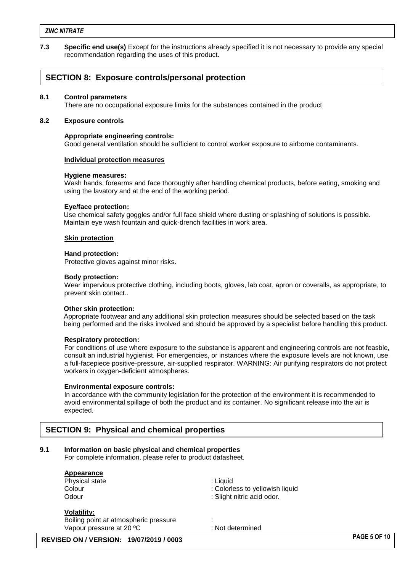#### *ZINC NITRATE*

**7.3 Specific end use(s)** Except for the instructions already specified it is not necessary to provide any special recommendation regarding the uses of this product.

# **SECTION 8: Exposure controls/personal protection**

#### **8.1 Control parameters**

There are no occupational exposure limits for the substances contained in the product

#### **8.2 Exposure controls**

#### **Appropriate engineering controls:**

Good general ventilation should be sufficient to control worker exposure to airborne contaminants.

#### **Individual protection measures**

#### **Hygiene measures:**

Wash hands, forearms and face thoroughly after handling chemical products, before eating, smoking and using the lavatory and at the end of the working period.

#### **Eye/face protection:**

Use chemical safety goggles and/or full face shield where dusting or splashing of solutions is possible. Maintain eye wash fountain and quick-drench facilities in work area.

#### **Skin protection**

#### **Hand protection:**

Protective gloves against minor risks.

#### **Body protection:**

Wear impervious protective clothing, including boots, gloves, lab coat, apron or coveralls, as appropriate, to prevent skin contact..

#### **Other skin protection:**

Appropriate footwear and any additional skin protection measures should be selected based on the task being performed and the risks involved and should be approved by a specialist before handling this product.

#### **Respiratory protection:**

For conditions of use where exposure to the substance is apparent and engineering controls are not feasble, consult an industrial hygienist. For emergencies, or instances where the exposure levels are not known, use a full-facepiece positive-pressure, air-supplied respirator. WARNING: Air purifying respirators do not protect workers in oxygen-deficient atmospheres.

#### **Environmental exposure controls:**

In accordance with the community legislation for the protection of the environment it is recommended to avoid environmental spillage of both the product and its container. No significant release into the air is expected.

# **SECTION 9: Physical and chemical properties**

#### **9.1 Information on basic physical and chemical properties**

For complete information, please refer to product datasheet.

| Appearance                                     |                                 |                     |
|------------------------------------------------|---------------------------------|---------------------|
| Physical state                                 | : Liquid                        |                     |
| Colour                                         | : Colorless to yellowish liquid |                     |
| Odour                                          | : Slight nitric acid odor.      |                     |
| <b>Volatility:</b>                             |                                 |                     |
| Boiling point at atmospheric pressure          |                                 |                     |
| Vapour pressure at 20 °C                       | : Not determined                |                     |
| <b>REVISED ON / VERSION: 19/07/2019 / 0003</b> |                                 | <b>PAGE 5 OF 10</b> |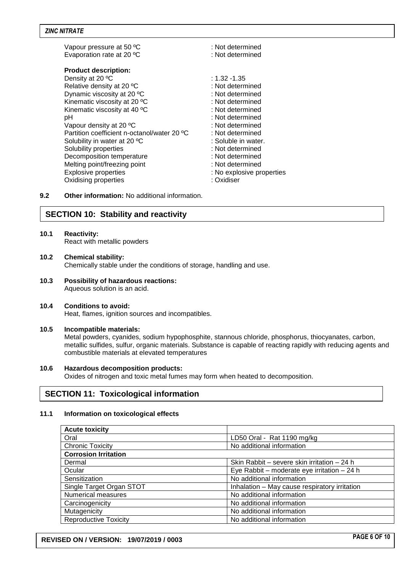| Vapour pressure at 50 °C<br>Evaporation rate at 20 °C | : Not determined<br>: Not determined |  |
|-------------------------------------------------------|--------------------------------------|--|
| <b>Product description:</b>                           |                                      |  |
| Density at 20 °C                                      | : 1.32 -1.35                         |  |
| Relative density at 20 °C                             | : Not determined                     |  |
| Dynamic viscosity at 20 °C                            | : Not determined                     |  |
| Kinematic viscosity at 20 °C                          | : Not determined                     |  |
| Kinematic viscosity at 40 °C                          | : Not determined                     |  |
| рH                                                    | : Not determined                     |  |
| Vapour density at 20 °C                               | : Not determined                     |  |
| Partition coefficient n-octanol/water 20 °C           | : Not determined                     |  |
| Solubility in water at 20 °C                          | : Soluble in water.                  |  |
| Solubility properties                                 | : Not determined                     |  |
| Decomposition temperature                             | : Not determined                     |  |
| Melting point/freezing point                          | : Not determined                     |  |
| <b>Explosive properties</b>                           | : No explosive properties            |  |
| Oxidising properties                                  | : Oxidiser                           |  |
|                                                       |                                      |  |

**9.2 Other information:** No additional information.

# **SECTION 10: Stability and reactivity**

# **10.1 Reactivity:**

React with metallic powders

- **10.2 Chemical stability:** Chemically stable under the conditions of storage, handling and use.
- **10.3 Possibility of hazardous reactions:** Aqueous solution is an acid.

# **10.4 Conditions to avoid:**

Heat, flames, ignition sources and incompatibles.

# **10.5 Incompatible materials:**

Metal powders, cyanides, sodium hypophosphite, stannous chloride, phosphorus, thiocyanates, carbon, metallic sulfides, sulfur, organic materials. Substance is capable of reacting rapidly with reducing agents and combustible materials at elevated temperatures

# **10.6 Hazardous decomposition products:**

Oxides of nitrogen and toxic metal fumes may form when heated to decomposition.

# **SECTION 11: Toxicological information**

# **11.1 Information on toxicological effects**

| <b>Acute toxicity</b>        |                                               |  |  |
|------------------------------|-----------------------------------------------|--|--|
| Oral                         | LD50 Oral - Rat 1190 mg/kg                    |  |  |
| <b>Chronic Toxicity</b>      | No additional information                     |  |  |
| <b>Corrosion Irritation</b>  |                                               |  |  |
| Dermal                       | Skin Rabbit - severe skin irritation - 24 h   |  |  |
| Ocular                       | Eye Rabbit – moderate eye irritation – 24 h   |  |  |
| Sensitization                | No additional information                     |  |  |
| Single Target Organ STOT     | Inhalation - May cause respiratory irritation |  |  |
| Numerical measures           | No additional information                     |  |  |
| Carcinogenicity              | No additional information                     |  |  |
| Mutagenicity                 | No additional information                     |  |  |
| <b>Reproductive Toxicity</b> | No additional information                     |  |  |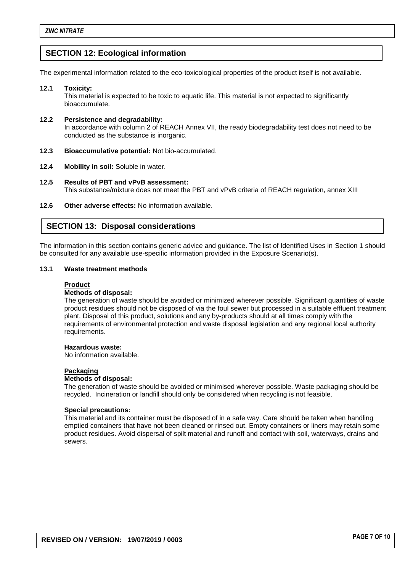# **SECTION 12: Ecological information**

The experimental information related to the eco-toxicological properties of the product itself is not available.

## **12.1 Toxicity:**

This material is expected to be toxic to aquatic life. This material is not expected to significantly bioaccumulate.

### **12.2 Persistence and degradability:** In accordance with column 2 of REACH Annex VII, the ready biodegradability test does not need to be conducted as the substance is inorganic.

- **12.3 Bioaccumulative potential:** Not bio-accumulated.
- **12.4 Mobility in soil:** Soluble in water.
- **12.5 Results of PBT and vPvB assessment:** This substance/mixture does not meet the PBT and vPvB criteria of REACH regulation, annex XIII
- **12.6 Other adverse effects:** No information available.

# **SECTION 13: Disposal considerations**

The information in this section contains generic advice and guidance. The list of Identified Uses in Section 1 should be consulted for any available use-specific information provided in the Exposure Scenario(s).

# **13.1 Waste treatment methods**

# **Product**

# **Methods of disposal:**

The generation of waste should be avoided or minimized wherever possible. Significant quantities of waste product residues should not be disposed of via the foul sewer but processed in a suitable effluent treatment plant. Disposal of this product, solutions and any by-products should at all times comply with the requirements of environmental protection and waste disposal legislation and any regional local authority requirements.

#### **Hazardous waste:**

No information available.

# **Packaging**

### **Methods of disposal:**

The generation of waste should be avoided or minimised wherever possible. Waste packaging should be recycled. Incineration or landfill should only be considered when recycling is not feasible.

### **Special precautions:**

This material and its container must be disposed of in a safe way. Care should be taken when handling emptied containers that have not been cleaned or rinsed out. Empty containers or liners may retain some product residues. Avoid dispersal of spilt material and runoff and contact with soil, waterways, drains and sewers.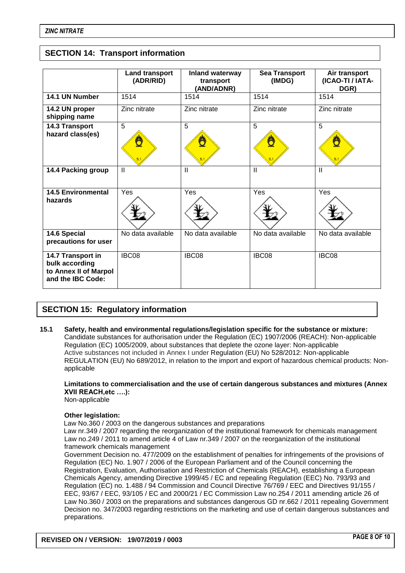# **SECTION 14: Transport information**

|                                                                                   | <b>Land transport</b><br>(ADR/RID) | Inland waterway<br>transport<br>(AND/ADNR) | <b>Sea Transport</b><br>(IMDG) | Air transport<br>(ICAO-TI / IATA-<br>DGR) |
|-----------------------------------------------------------------------------------|------------------------------------|--------------------------------------------|--------------------------------|-------------------------------------------|
| 14.1 UN Number                                                                    | 1514                               | 1514                                       | 1514                           | 1514                                      |
| 14.2 UN proper<br>shipping name                                                   | Zinc nitrate                       | Zinc nitrate                               | Zinc nitrate                   | Zinc nitrate                              |
| 14.3 Transport<br>hazard class(es)                                                | 5                                  | 5                                          | 5                              | 5                                         |
| 14.4 Packing group                                                                | $\mathbf{H}$                       | $\mathbf{I}$                               | $\mathbf{H}$                   | $\mathbf{H}$                              |
| <b>14.5 Environmental</b><br>hazards                                              | Yes                                | Yes                                        | Yes                            | Yes                                       |
| 14.6 Special<br>precautions for user                                              | No data available                  | No data available                          | No data available              | No data available                         |
| 14.7 Transport in<br>bulk according<br>to Annex II of Marpol<br>and the IBC Code: | IBC08                              | IBC08                                      | IBC08                          | IBC08                                     |

# **SECTION 15: Regulatory information**

**15.1 Safety, health and environmental regulations/legislation specific for the substance or mixture:** Candidate substances for authorisation under the Regulation (EC) 1907/2006 (REACH): Non-applicable Regulation (EC) 1005/2009, about substances that deplete the ozone layer: Non-applicable Active substances not included in Annex I under Regulation (EU) No 528/2012: Non-applicable REGULATION (EU) No 689/2012, in relation to the import and export of hazardous chemical products: Nonapplicable

# **Limitations to commercialisation and the use of certain dangerous substances and mixtures (Annex XVII REACH,etc ….):**

Non-applicable

### **Other legislation:**

Law No.360 / 2003 on the dangerous substances and preparations

Law nr.349 / 2007 regarding the reorganization of the institutional framework for chemicals management Law no.249 / 2011 to amend article 4 of Law nr.349 / 2007 on the reorganization of the institutional framework chemicals management

Government Decision no. 477/2009 on the establishment of penalties for infringements of the provisions of Regulation (EC) No. 1.907 / 2006 of the European Parliament and of the Council concerning the Registration, Evaluation, Authorisation and Restriction of Chemicals (REACH), establishing a European Chemicals Agency, amending Directive 1999/45 / EC and repealing Regulation (EEC) No. 793/93 and Regulation (EC) no. 1.488 / 94 Commission and Council Directive 76/769 / EEC and Directives 91/155 / EEC, 93/67 / EEC, 93/105 / EC and 2000/21 / EC Commission Law no.254 / 2011 amending article 26 of Law No.360 / 2003 on the preparations and substances dangerous GD nr.662 / 2011 repealing Government Decision no. 347/2003 regarding restrictions on the marketing and use of certain dangerous substances and preparations.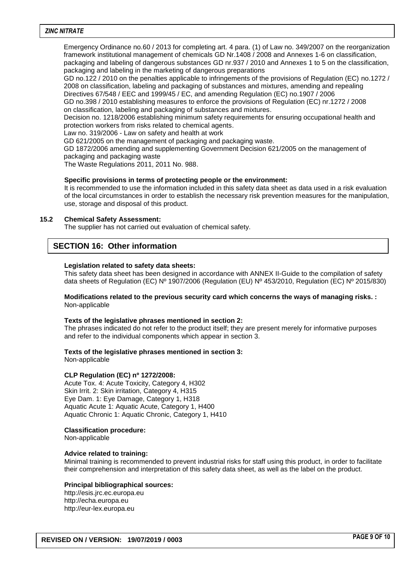#### *ZINC NITRATE*

Emergency Ordinance no.60 / 2013 for completing art. 4 para. (1) of Law no. 349/2007 on the reorganization framework institutional management of chemicals GD Nr.1408 / 2008 and Annexes 1-6 on classification, packaging and labeling of dangerous substances GD nr.937 / 2010 and Annexes 1 to 5 on the classification, packaging and labeling in the marketing of dangerous preparations

GD no.122 / 2010 on the penalties applicable to infringements of the provisions of Regulation (EC) no.1272 / 2008 on classification, labeling and packaging of substances and mixtures, amending and repealing Directives 67/548 / EEC and 1999/45 / EC, and amending Regulation (EC) no.1907 / 2006

GD no.398 / 2010 establishing measures to enforce the provisions of Regulation (EC) nr.1272 / 2008 on classification, labeling and packaging of substances and mixtures.

Decision no. 1218/2006 establishing minimum safety requirements for ensuring occupational health and protection workers from risks related to chemical agents.

Law no. 319/2006 - Law on safety and health at work

GD 621/2005 on the management of packaging and packaging waste.

GD 1872/2006 amending and supplementing Government Decision 621/2005 on the management of packaging and packaging waste

The Waste Regulations 2011, 2011 No. 988.

#### **Specific provisions in terms of protecting people or the environment:**

It is recommended to use the information included in this safety data sheet as data used in a risk evaluation of the local circumstances in order to establish the necessary risk prevention measures for the manipulation, use, storage and disposal of this product.

### **15.2 Chemical Safety Assessment:**

The supplier has not carried out evaluation of chemical safety.

# **SECTION 16: Other information**

#### **Legislation related to safety data sheets:**

This safety data sheet has been designed in accordance with ANNEX II-Guide to the compilation of safety data sheets of Regulation (EC) Nº 1907/2006 (Regulation (EU) Nº 453/2010, Regulation (EC) Nº 2015/830)

#### **Modifications related to the previous security card which concerns the ways of managing risks. :** Non-applicable

#### **Texts of the legislative phrases mentioned in section 2:**

The phrases indicated do not refer to the product itself; they are present merely for informative purposes and refer to the individual components which appear in section 3.

#### **Texts of the legislative phrases mentioned in section 3:**

Non-applicable

#### **CLP Regulation (EC) nº 1272/2008:**

Acute Tox. 4: Acute Toxicity, Category 4, H302 Skin Irrit. 2: Skin irritation, Category 4, H315 Eye Dam. 1: Eye Damage, Category 1, H318 Aquatic Acute 1: Aquatic Acute, Category 1, H400 Aquatic Chronic 1: Aquatic Chronic, Category 1, H410

#### **Classification procedure:**

Non-applicable

#### **Advice related to training:**

Minimal training is recommended to prevent industrial risks for staff using this product, in order to facilitate their comprehension and interpretation of this safety data sheet, as well as the label on the product.

#### **Principal bibliographical sources:**

http://esis.jrc.ec.europa.eu http://echa.europa.eu http://eur-lex.europa.eu